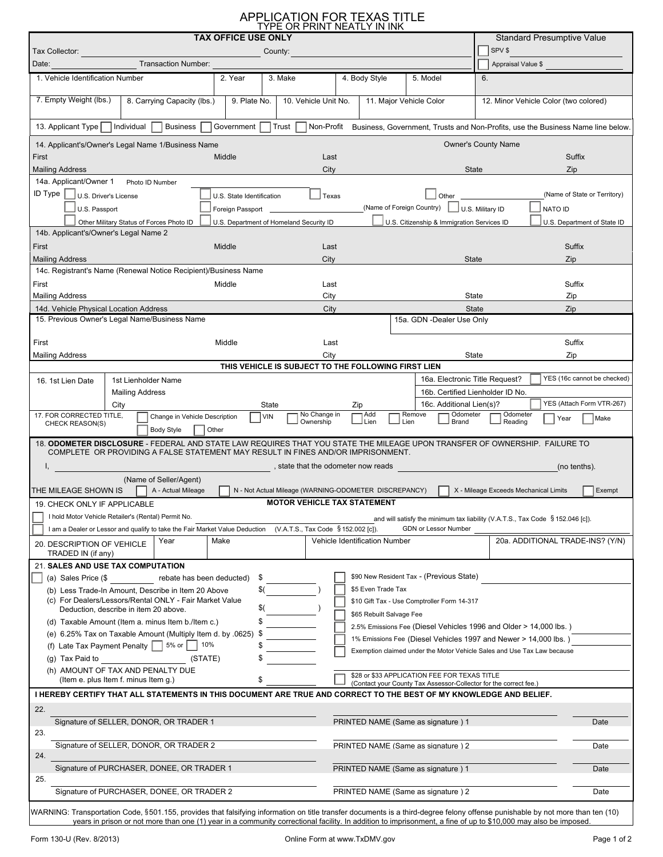## APPLICATION FOR TEXAS TITLE TYPE OR PRINT NEATLY IN INK

| <b>TAX OFFICE USE ONLY</b>                                                                                                                                                                                                                                                                                                         |                                                             |                                                                                                                                                                                                                                                                              | <b>Standard Presumptive Value</b>     |                                       |                                  |
|------------------------------------------------------------------------------------------------------------------------------------------------------------------------------------------------------------------------------------------------------------------------------------------------------------------------------------|-------------------------------------------------------------|------------------------------------------------------------------------------------------------------------------------------------------------------------------------------------------------------------------------------------------------------------------------------|---------------------------------------|---------------------------------------|----------------------------------|
| Tax Collector:<br>County:                                                                                                                                                                                                                                                                                                          |                                                             | SPV \$                                                                                                                                                                                                                                                                       |                                       |                                       |                                  |
| Transaction Number:<br>Date:                                                                                                                                                                                                                                                                                                       |                                                             |                                                                                                                                                                                                                                                                              |                                       | Appraisal Value \$                    |                                  |
| 3. Make<br>2. Year<br>1. Vehicle Identification Number                                                                                                                                                                                                                                                                             | 4. Body Style                                               | 5. Model                                                                                                                                                                                                                                                                     | 6.                                    |                                       |                                  |
| 7. Empty Weight (lbs.)<br>9. Plate No.<br>8. Carrying Capacity (lbs.)                                                                                                                                                                                                                                                              | 10. Vehicle Unit No.<br>11. Major Vehicle Color             |                                                                                                                                                                                                                                                                              |                                       | 12. Minor Vehicle Color (two colored) |                                  |
| Individual<br><b>Business</b><br>Government<br>∣ Trust<br>Non-Profit Business, Government, Trusts and Non-Profits, use the Business Name line below<br>13. Applicant Type                                                                                                                                                          |                                                             |                                                                                                                                                                                                                                                                              |                                       |                                       |                                  |
| 14. Applicant's/Owner's Legal Name 1/Business Name                                                                                                                                                                                                                                                                                 |                                                             |                                                                                                                                                                                                                                                                              | <b>Owner's County Name</b>            |                                       |                                  |
| First<br>Middle                                                                                                                                                                                                                                                                                                                    | Last                                                        |                                                                                                                                                                                                                                                                              |                                       | Suffix                                | $\vert \blacktriangledown \vert$ |
| <b>Mailing Address</b>                                                                                                                                                                                                                                                                                                             | City                                                        | State                                                                                                                                                                                                                                                                        |                                       | Zip                                   |                                  |
| 14a. Applicant/Owner 1<br>Photo ID Number<br>$ID$ Type $ $                                                                                                                                                                                                                                                                         |                                                             |                                                                                                                                                                                                                                                                              |                                       | (Name of State or Territory)          |                                  |
| U.S. Driver's License<br>U.S. State Identification<br>U.S. Passport<br>Foreign Passport                                                                                                                                                                                                                                            | $\Box$ Texas                                                | Other and the control of the control of the control of the control of the control of the control of the control of the control of the control of the control of the control of the control of the control of the control of th<br>(Name of Foreign Country) U.S. Military ID |                                       | <b>NATO ID</b>                        |                                  |
| Other Military Status of Forces Photo ID<br>U.S. Department of Homeland Security ID                                                                                                                                                                                                                                                |                                                             | U.S. Citizenship & Immigration Services ID                                                                                                                                                                                                                                   |                                       | U.S. Department of State ID           |                                  |
| 14b. Applicant's/Owner's Legal Name 2                                                                                                                                                                                                                                                                                              |                                                             |                                                                                                                                                                                                                                                                              |                                       |                                       |                                  |
| First<br>Middle                                                                                                                                                                                                                                                                                                                    | Last                                                        |                                                                                                                                                                                                                                                                              |                                       | Suffix                                | $\blacktriangleright$            |
| <b>Mailing Address</b>                                                                                                                                                                                                                                                                                                             | City                                                        | <b>State</b>                                                                                                                                                                                                                                                                 |                                       | Zip                                   |                                  |
| 14c. Registrant's Name (Renewal Notice Recipient)/Business Name                                                                                                                                                                                                                                                                    |                                                             |                                                                                                                                                                                                                                                                              |                                       |                                       |                                  |
| First<br>Middle                                                                                                                                                                                                                                                                                                                    | Last                                                        |                                                                                                                                                                                                                                                                              |                                       | Suffix                                | $\blacktriangledown$             |
| <b>Mailing Address</b><br>14d. Vehicle Physical Location Address                                                                                                                                                                                                                                                                   | City                                                        | State<br>State                                                                                                                                                                                                                                                               |                                       | Zip                                   |                                  |
| 15. Previous Owner's Legal Name/Business Name                                                                                                                                                                                                                                                                                      | City                                                        | 15a. GDN -Dealer Use Only                                                                                                                                                                                                                                                    |                                       | Zip                                   |                                  |
|                                                                                                                                                                                                                                                                                                                                    |                                                             |                                                                                                                                                                                                                                                                              |                                       |                                       |                                  |
| First<br>Middle                                                                                                                                                                                                                                                                                                                    | Last                                                        |                                                                                                                                                                                                                                                                              |                                       | Suffix                                | $\blacktriangleright$            |
| <b>Mailing Address</b>                                                                                                                                                                                                                                                                                                             | City<br>THIS VEHICLE IS SUBJECT TO THE FOLLOWING FIRST LIEN | State                                                                                                                                                                                                                                                                        |                                       | Zip                                   |                                  |
| 1st Lienholder Name                                                                                                                                                                                                                                                                                                                |                                                             | 16a. Electronic Title Request?                                                                                                                                                                                                                                               |                                       | YES (16c cannot be checked)           |                                  |
| 16. 1st Lien Date<br><b>Mailing Address</b>                                                                                                                                                                                                                                                                                        |                                                             | 16b. Certified Lienholder ID No.                                                                                                                                                                                                                                             |                                       |                                       |                                  |
| City<br>State                                                                                                                                                                                                                                                                                                                      | Zip                                                         | 16c. Additional Lien(s)?                                                                                                                                                                                                                                                     |                                       | YES (Attach Form VTR-267)             |                                  |
| 17. FOR CORRECTED TITLE,<br>Change in Vehicle Description<br><b>VIN</b><br>CHECK REASON(S)                                                                                                                                                                                                                                         | Add<br>No Change in<br>Ownership<br>J Lien                  | Odometer<br>Remove<br>J Brand<br>J Lien                                                                                                                                                                                                                                      | Odometer<br>Reading                   | Make<br>Year                          |                                  |
| <b>Body Style</b><br>Other                                                                                                                                                                                                                                                                                                         |                                                             |                                                                                                                                                                                                                                                                              |                                       |                                       |                                  |
| 18. ODOMETER DISCLOSURE - FEDERAL AND STATE LAW REQUIRES THAT YOU STATE THE MILEAGE UPON TRANSFER OF OWNERSHIP. FAILURE TO                                                                                                                                                                                                         |                                                             |                                                                                                                                                                                                                                                                              |                                       |                                       |                                  |
| COMPLETE OR PROVIDING A FALSE STATEMENT MAY RESULT IN FINES AND/OR IMPRISONMENT.<br>state that the odometer now reads and the state of the state of the state of the state of the state of the state of the state of the state of the state of the state of the state of the state of the state of the state of th<br>(no tenths). |                                                             |                                                                                                                                                                                                                                                                              |                                       |                                       |                                  |
| (Name of Seller/Agent)                                                                                                                                                                                                                                                                                                             |                                                             |                                                                                                                                                                                                                                                                              |                                       |                                       |                                  |
| THE MILEAGE SHOWN IS<br>A - Actual Mileage                                                                                                                                                                                                                                                                                         | N - Not Actual Mileage (WARNING-ODOMETER DISCREPANCY)       |                                                                                                                                                                                                                                                                              | X - Mileage Exceeds Mechanical Limits | Exempt                                |                                  |
| <b>MOTOR VEHICLE TAX STATEMENT</b><br>19. CHECK ONLY IF APPLICABLE                                                                                                                                                                                                                                                                 |                                                             |                                                                                                                                                                                                                                                                              |                                       |                                       |                                  |
| I hold Motor Vehicle Retailer's (Rental) Permit No.<br>and will satisfy the minimum tax liability (V.A.T.S., Tax Code § 152.046 [c]).                                                                                                                                                                                              |                                                             |                                                                                                                                                                                                                                                                              |                                       |                                       |                                  |
| I am a Dealer or Lessor and qualify to take the Fair Market Value Deduction (V.A.T.S., Tax Code § 152.002 [c]).                                                                                                                                                                                                                    |                                                             | GDN or Lessor Number                                                                                                                                                                                                                                                         |                                       |                                       |                                  |
| Year<br>Make<br>20. DESCRIPTION OF VEHICLE                                                                                                                                                                                                                                                                                         | Vehicle Identification Number                               |                                                                                                                                                                                                                                                                              |                                       | 20a. ADDITIONAL TRADE-INS? (Y/N)      |                                  |
| TRADED IN (if any)<br>21. SALES AND USE TAX COMPUTATION                                                                                                                                                                                                                                                                            |                                                             |                                                                                                                                                                                                                                                                              |                                       |                                       |                                  |
| \$90 New Resident Tax - (Previous State)<br>(a) Sales Price $(\$$<br>rebate has been deducted)<br>\$                                                                                                                                                                                                                               |                                                             |                                                                                                                                                                                                                                                                              |                                       |                                       |                                  |
| \$5 Even Trade Tax<br>(b) Less Trade-In Amount, Describe in Item 20 Above<br>\$(                                                                                                                                                                                                                                                   |                                                             |                                                                                                                                                                                                                                                                              |                                       |                                       |                                  |
| (c) For Dealers/Lessors/Rental ONLY - Fair Market Value<br>\$10 Gift Tax - Use Comptroller Form 14-317<br>\$(<br>Deduction, describe in item 20 above.                                                                                                                                                                             |                                                             |                                                                                                                                                                                                                                                                              |                                       |                                       |                                  |
| \$65 Rebuilt Salvage Fee<br>\$<br>(d) Taxable Amount (Item a. minus Item b./Item c.)                                                                                                                                                                                                                                               |                                                             |                                                                                                                                                                                                                                                                              |                                       |                                       |                                  |
| 2.5% Emissions Fee (Diesel Vehicles 1996 and Older > 14,000 lbs.)<br>(e) $6.25\%$ Tax on Taxable Amount (Multiply Item d. by .0625) \$<br>1% Emissions Fee (Diesel Vehicles 1997 and Newer > 14,000 lbs.)                                                                                                                          |                                                             |                                                                                                                                                                                                                                                                              |                                       |                                       |                                  |
| 5% or<br>10%<br>(f) Late Tax Payment Penalty $\vert \ \vert$<br>\$                                                                                                                                                                                                                                                                 |                                                             | Exemption claimed under the Motor Vehicle Sales and Use Tax Law because                                                                                                                                                                                                      |                                       |                                       |                                  |
| (g) Tax Paid to<br>(STATE)<br>\$                                                                                                                                                                                                                                                                                                   |                                                             |                                                                                                                                                                                                                                                                              |                                       |                                       |                                  |
| (h) AMOUNT OF TAX AND PENALTY DUE<br>(Item e. plus Item f. minus Item g.)                                                                                                                                                                                                                                                          |                                                             | \$28 or \$33 APPLICATION FEE FOR TEXAS TITLE                                                                                                                                                                                                                                 |                                       |                                       |                                  |
| (Contact your County Tax Assessor-Collector for the correct fee.)<br>I HEREBY CERTIFY THAT ALL STATEMENTS IN THIS DOCUMENT ARE TRUE AND CORRECT TO THE BEST OF MY KNOWLEDGE AND BELIEF.                                                                                                                                            |                                                             |                                                                                                                                                                                                                                                                              |                                       |                                       |                                  |
| 22.                                                                                                                                                                                                                                                                                                                                |                                                             |                                                                                                                                                                                                                                                                              |                                       |                                       |                                  |
| Signature of SELLER, DONOR, OR TRADER 1                                                                                                                                                                                                                                                                                            | PRINTED NAME (Same as signature) 1                          |                                                                                                                                                                                                                                                                              |                                       | Date                                  |                                  |
| 23.                                                                                                                                                                                                                                                                                                                                |                                                             |                                                                                                                                                                                                                                                                              |                                       |                                       |                                  |
| Signature of SELLER, DONOR, OR TRADER 2                                                                                                                                                                                                                                                                                            | PRINTED NAME (Same as signature) 2                          |                                                                                                                                                                                                                                                                              |                                       | Date                                  |                                  |
| 24.<br>Signature of PURCHASER, DONEE, OR TRADER 1                                                                                                                                                                                                                                                                                  | PRINTED NAME (Same as signature) 1                          |                                                                                                                                                                                                                                                                              |                                       | Date                                  |                                  |
| 25.                                                                                                                                                                                                                                                                                                                                |                                                             |                                                                                                                                                                                                                                                                              |                                       |                                       |                                  |
| Signature of PURCHASER, DONEE, OR TRADER 2                                                                                                                                                                                                                                                                                         | PRINTED NAME (Same as signature) 2                          |                                                                                                                                                                                                                                                                              |                                       | Date                                  |                                  |
|                                                                                                                                                                                                                                                                                                                                    |                                                             |                                                                                                                                                                                                                                                                              |                                       |                                       |                                  |

WARNING: Transportation Code, 501.155, provides that falsifying information on title transfer documents is a third-degree felony offense punishable by not more than ten (10) years in prison or not more than one (1) year in a community correctional facility. In addition to imprisonment, a fine of up to \$10,000 may also be imposed. §